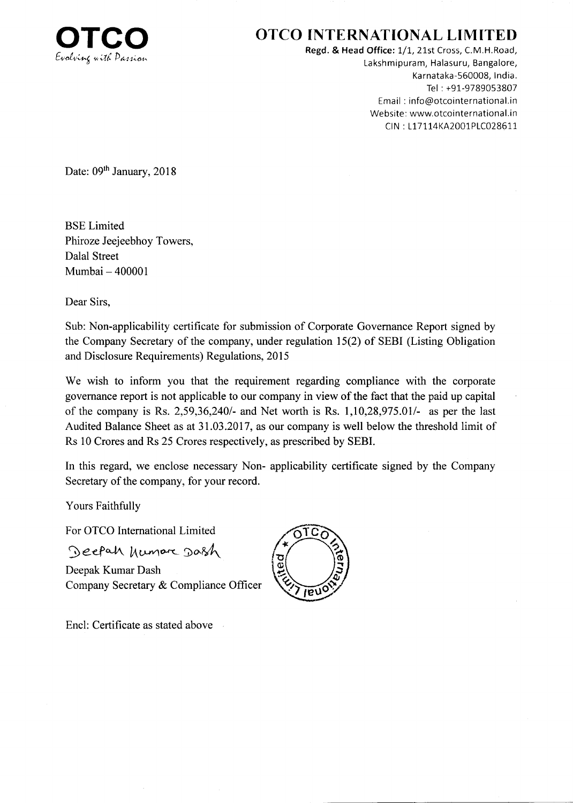

## OTCO INTERNATIONAL LIMITED

Regd. & Head Office: 1/1, 21st Cross, C.M.H.Road, Lakshmipuram, Halasuru, Bangalore, Karnataka-560008, lndia. Tel : +91-9789053807 Email : info@otcointernational.in Website: www.otcointernational.in CIN: L17114KA2001PLC028611

Date: 09<sup>th</sup> January, 2018

BSE Limited Phiroze Jeejeebhoy Towers, Dalal Street Mumbai - <sup>400001</sup>

Dear Sirs,

Sub: Non-applicability certificate for submission of Corporate Governance Report signed by the Company Secretary of the company, under regulation l5(2) of SEBI (Listing Obligation and Disclosure Requirements) Regulations, 2015

We wish to inform you that the requirement regarding compliance with the corporate govemance report is not applicable to our company in view of the fact that the paid up capital of the company is Rs.  $2,59,36,240/4$  and Net worth is Rs.  $1,10,28,975.01/4$  as per the last Audited Balance Sheet as at 31.03.2017, as our company is well below the threshold limit of Rs 10 Crores and Rs 25 Crores respectively, as prescribed by SEBI.

In this regard, we enclose necessary Non- applicability certificate signed by the Company Secretary of the company, for your record.

Yours Faithfully

For OTCO International Limited

Deepah humare Dash

Encl: Certificate as stated above

Deepak Kumar Dash Company Secretary & Compliance Officer